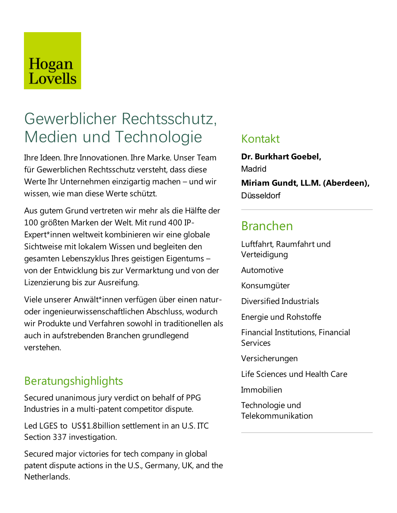## Hogan Lovells

# Gewerblicher Rechtsschutz, Medien und Technologie

Ihre Ideen. Ihre Innovationen. Ihre Marke. Unser Team für Gewerblichen Rechtsschutz versteht, dass diese Werte Ihr Unternehmen einzigartig machen – und wir wissen, wie man diese Werteschützt.

Aus gutem Grund vertreten wir mehr als die Hälfte der 100 größten Marken der Welt.Mit rund 400 IP-Expert\*innen weltweit kombinieren wir eine globale Sichtweise mit lokalem Wissen und begleiten den gesamten Lebenszyklus Ihres geistigen Eigentums – von der Entwicklung bis zur Vermarktung und von der Lizenzierung bis zur Ausreifung.

Viele unserer Anwält\*innen verfügen über einen naturoder ingenieurwissenschaftlichen Abschluss, wodurch wir Produkte und Verfahren sowohl in traditionellen als auch in aufstrebenden Branchen grundlegend verstehen.

### Beratungshighlights

Secured unanimous jury verdict on behalf of PPG Industries in a multi-patent competitor dispute.

Led LGES to US\$1.8billion settlement in an U.S. ITC Section 337 investigation.

Secured major victories for tech company in global patent dispute actions in the U.S., Germany, UK, and the Netherlands.

#### Kontakt

**Dr. Burkhart Goebel,** Madrid **Miriam Gundt, LL.M. (Aberdeen), Düsseldorf** 

### Branchen

Luftfahrt, Raumfahrt und Verteidigung

Automotive

Konsumgüter

Diversified Industrials

Energie und Rohstoffe

Financial Institutions, Financial **Services** 

Versicherungen

Life Sciences und Health Care

Immobilien

Technologie und Telekommunikation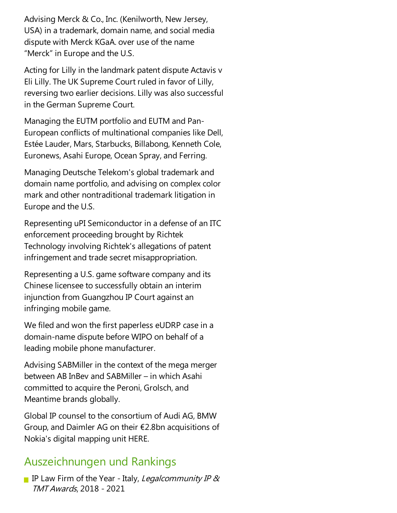Advising Merck & Co., Inc. (Kenilworth, New Jersey, USA) in a trademark, domain name, and social media dispute with Merck KGaA. over use of the name "Merck" in Europe and the U.S.

Acting for Lilly in the landmark patent dispute Actavis v Eli Lilly.The UK Supreme Court ruled in favor of Lilly, reversing two earlier decisions.Lilly was also successful in the German Supreme Court.

Managing the EUTM portfolio and EUTM and Pan-European conflicts of multinational companies like Dell, Estée Lauder, Mars, Starbucks, Billabong, Kenneth Cole, Euronews, Asahi Europe, Ocean Spray, and Ferring.

Managing Deutsche Telekom's global trademark and domain name portfolio, and advising on complex color mark and other nontraditional trademark litigation in Europe and the U.S.

Representing uPI Semiconductor in a defense of an ITC enforcement proceeding brought by Richtek Technology involving Richtek's allegations of patent infringement and trade secret misappropriation.

Representing a U.S. game software company and its Chinese licensee to successfully obtain an interim injunction from Guangzhou IP Court against an infringing mobile game.

We filed and won the first paperless eUDRP case in a domain-name dispute before WIPO on behalf of a leading mobile phone manufacturer.

Advising SABMiller in the context of the mega merger between AB InBev and SABMiller – in which Asahi committed to acquire the Peroni, Grolsch, and Meantime brands globally.

Global IP counsel to the consortium of Audi AG, BMW Group,and Daimler AG on their €2.8bn acquisitions of Nokia's digital mapping unit HERE.

### Auszeichnungen und Rankings

IP Law Firm of the Year - Italy, Legalcommunity IP  $\&$ TMT Awards, 2018 - 2021